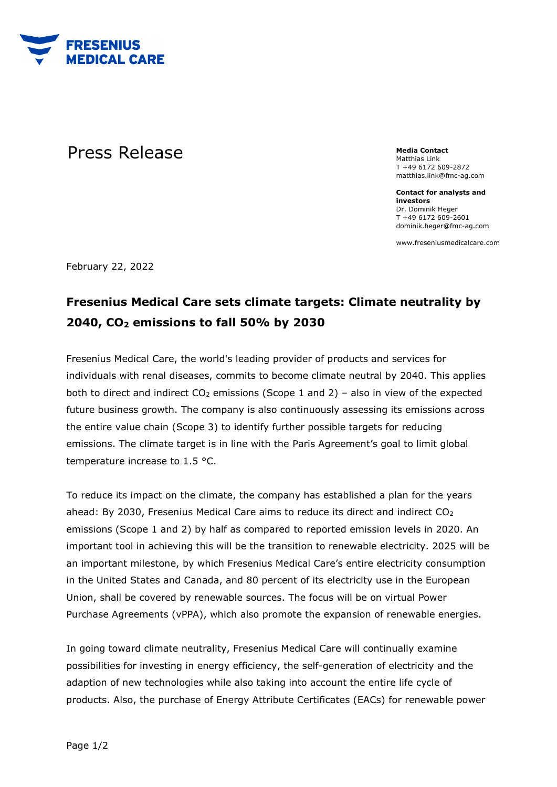

## **Press Release** *Media* Contact

Matthias Link T +49 6172 609-2872 matthias.link@fmc-ag.com

**Contact for analysts and investors** Dr. Dominik Heger T +49 6172 609-2601 dominik.heger@fmc-ag.com

www.freseniusmedicalcare.com

February 22, 2022

## **Fresenius Medical Care sets climate targets: Climate neutrality by 2040, CO2 emissions to fall 50% by 2030**

Fresenius Medical Care, the world's leading provider of products and services for individuals with renal diseases, commits to become climate neutral by 2040. This applies both to direct and indirect  $CO<sub>2</sub>$  emissions (Scope 1 and 2) – also in view of the expected future business growth. The company is also continuously assessing its emissions across the entire value chain (Scope 3) to identify further possible targets for reducing emissions. The climate target is in line with the Paris Agreement's goal to limit global temperature increase to 1.5 °C.

To reduce its impact on the climate, the company has established a plan for the years ahead: By 2030, Fresenius Medical Care aims to reduce its direct and indirect CO<sub>2</sub> emissions (Scope 1 and 2) by half as compared to reported emission levels in 2020. An important tool in achieving this will be the transition to renewable electricity. 2025 will be an important milestone, by which Fresenius Medical Care's entire electricity consumption in the United States and Canada, and 80 percent of its electricity use in the European Union, shall be covered by renewable sources. The focus will be on virtual Power Purchase Agreements (vPPA), which also promote the expansion of renewable energies.

In going toward climate neutrality, Fresenius Medical Care will continually examine possibilities for investing in energy efficiency, the self-generation of electricity and the adaption of new technologies while also taking into account the entire life cycle of products. Also, the purchase of Energy Attribute Certificates (EACs) for renewable power